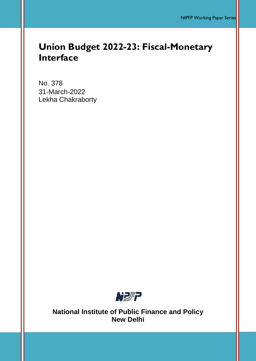# **Union Budget 2022-23: Fiscal-Monetary Interface**

No. 378 31-March-2022 Lekha Chakraborty



**National Institute of Public Finance and Policy New Delhi**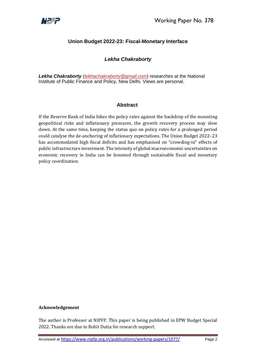

# **Union Budget 2022-23: Fiscal-Monetary Interface**

## *Lekha Chakraborty*

*Lekha Chakraborty* (*[lekhachakraborty@gmail.com](mailto:lekhachakraborty@gmail.com)*) researches at the National Institute of Public Finance and Policy, New Delhi. Views are personal.

## **Abstract**

If the Reserve Bank of India hikes the policy rates against the backdrop of the mounting geopolitical risks and inflationary pressures, the growth recovery process may slow down. At the same time, keeping the status quo on policy rates for a prolonged period could catalyse the de-anchoring of inflationary expectations. The Union Budget 2022–23 has accommodated high fiscal deficits and has emphasised on "crowding-in" effects of public infrastructure investment. The intensity of global macroeconomic uncertainties on economic recovery in India can be lessened through sustainable fiscal and monetary policy coordination.

#### **Acknowledgement**

The author is Professor at NIPFP. This paper is being published in EPW Budget Special 2022. Thanks are due to Rohit Dutta for research support.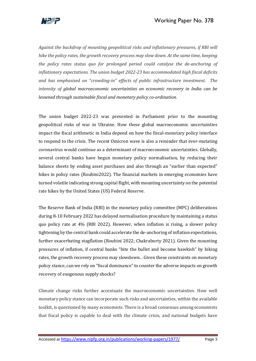

*Against the backdrop of mounting geopolitical risks and inflationary pressures, if RBI will hike the policy rates, the growth recovery process may slow down. At the same time, keeping the policy rates status quo for prolonged period could catalyse the de-anchoring of inflationary expectations. The union budget 2022-23 has accommodated high fiscal deficits and has emphasised on "crowding-in" effects of public infrastructure investment. The intensity of global macroeconomic uncertainties on economic recovery in India can be lessened through sustainable fiscal and monetary policy co-ordination.*

The union budget 2022-23 was presented in Parliament prior to the mounting geopolitical risks of war in Ukraine. How these global macroeconomic uncertainties impact the fiscal arithmetic in India depend on how the fiscal-monetary policy interface to respond to the crisis. The recent Omicron wave is also a reminder that ever-mutating coronavirus would continue as a determinant of macroeconomic uncertainties. Globally, several central banks have begun monetary policy normalisation, by reducing their balance sheets by ending asset purchases and also through an "earlier than expected" hikes in policy rates (Roubini2022). The financial markets in emerging economies have turned volatile indicating strong capital flight, with mounting uncertainty on the potential rate hikes by the United States (US) Federal Reserve.

The Reserve Bank of India (RBI) in the monetary policy committee (MPC) deliberations during 8-10 February 2022 has delayed normalisation procedure by maintaining a status quo policy rate at 4% (RBI 2022). However, when inflation is rising, a slower policy tightening by the central bank could accelerate the de-anchoring of inflation expectations, further exacerbating stagflation (Roubini 2022; Chakraborty 2021). Given the mounting pressures of inflation, if central banks "bite the bullet and become hawkish" by hiking rates, the growth recovery process may slowdown. . Given these constraints on monetary policy stance, can we rely on "fiscal dominance" to counter the adverse impacts on growth recovery of exogenous supply shocks?

Climate change risks further accentuate the macroeconomic uncertainties. How well monetary policy stance can incorporate such risks and uncertainties, within the available toolkit, is questioned by many economists. There is a broad consensus among economists that fiscal policy is capable to deal with the climate crisis, and national budgets have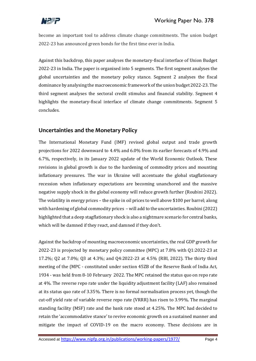

become an important tool to address climate change commitments. The union budget 2022-23 has announced green bonds for the first time ever in India.

Against this backdrop, this paper analyses the monetary-fiscal interface of Union Budget 2022-23 in India. The paper is organised into 5 segments. The first segment analyses the global uncertainties and the monetary policy stance. Segment 2 analyses the fiscal dominance by analysing the macroeconomic framework of the union budget 2022-23. The third segment analyses the sectoral credit stimulus and financial stability. Segment 4 highlights the monetary-fiscal interface of climate change commitments. Segment 5 concludes.

# **Uncertainties and the Monetary Policy**

The International Monetary Fund (IMF) revised global output and trade growth projections for 2022 downward to 4.4% and 6.0% from its earlier forecasts of 4.9% and 6.7%, respectively, in its January 2022 update of the World Economic Outlook. These revisions in global growth is due to the hardening of commodity prices and mounting inflationary pressures. The war in Ukraine will accentuate the global stagflationary recession when inflationary expectations are becoming unanchored and the massive negative supply shock in the global economy will reduce growth further (Roubini 2022). The volatility in energy prices – the spike in oil prices to well above \$100 per barrel; along with hardening of global commodity prices – will add to the uncertainties. Roubini (2022) highlighted that a deep stagflationary shock is also a nightmare scenario for central banks, which will be damned if they react, and damned if they don't.

Against the backdrop of mounting macroeconomic uncertainties, the real GDP growth for 2022-23 is projected by monetary policy committee (MPC) at 7.8% with Q1:2022-23 at 17.2%; Q2 at 7.0%; Q3 at 4.3%; and Q4:2022-23 at 4.5% (RBI, 2022). The thirty third meeting of the (MPC - constituted under section 45ZB of the Reserve Bank of India Act, 1934 - was held from 8-10 February 2022. The MPC retained the status quo on repo rate at 4%. The reverse repo rate under the liquidity adjustment facility (LAF) also remained at its status quo rate of 3.35%. There is no formal normalisation process yet, though the cut-off yield rate of variable reverse repo rate (VRRR) has risen to 3.99%. The marginal standing facility (MSF) rate and the bank rate stood at 4.25%. The MPC had decided to retain the 'accommodative stance' to revive economic growth on a sustained manner and mitigate the impact of COVID-19 on the macro economy. These decisions are in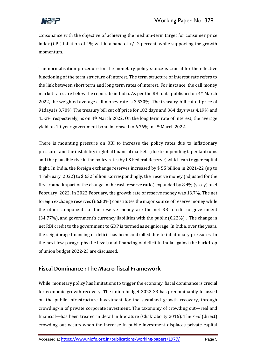

consonance with the objective of achieving the medium-term target for consumer price index (CPI) inflation of 4% within a band of  $+/- 2$  percent, while supporting the growth momentum.

The normalisation procedure for the monetary policy stance is crucial for the effective functioning of the term structure of interest. The term structure of interest rate refers to the link between short term and long term rates of interest. For instance, the call money market rates are below the repo rate in India. As per the RBI data published on 4th March 2022, the weighted average call money rate is 3.530%. The treasury-bill cut off price of 91days is 3.70%. The treasury bill cut off price for 182 days and 364 days was 4.19% and 4.52% respectively, as on 4th March 2022. On the long term rate of interest, the average yield on 10-year government bond increased to 6.76% in 4th March 2022.

There is mounting pressure on RBI to increase the policy rates due to inflationary pressures and the instability in global financial markets (due to impending taper tantrums and the plausible rise in the policy rates by US Federal Reserve) which can trigger capital flight. In India, the foreign exchange reserves increased by \$ 55 billion in 2021-22 (up to 4 February 2022) to \$ 632 billion. Correspondingly, the reserve money (adjusted for the first-round impact of the change in the cash reserve ratio) expanded by 8.4% (y-o-y) on 4 February 2022. In 2022 February, the growth rate of reserve money was 13.7%. The net foreign exchange reserves (66.80%) constitutes the major source of reserve money while the other components of the reserve money are the net RBI credit to government (34.77%), and government's currency liabilities with the public (0.22%) . The change in net RBI credit to the government to GDP is termed as seigniorage. In India, over the years, the seigniorage financing of deficit has been controlled due to inflationary pressures. In the next few paragraphs the levels and financing of deficit in India against the backdrop of union budget 2022-23 are discussed.

# **Fiscal Dominance : The Macro-fiscal Framework**

While monetary policy has limitations to trigger the economy, fiscal dominance is crucial for economic growth recovery. The union budget 2022-23 has predominantly focussed on the public infrastructure investment for the sustained growth recovery, through crowding-in of private corporate investment. The taxonomy of crowding out—real and financial—has been treated in detail in literature (Chakraborty 2016). The *real* (direct) crowding out occurs when the increase in public investment displaces private capital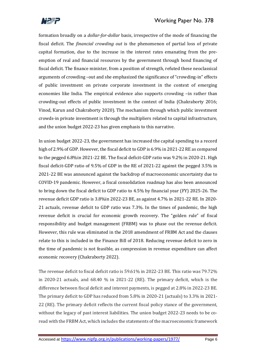

formation broadly on a *dollar-for-dollar* basis, irrespective of the mode of financing the fiscal deficit. The *financial crowding out* is the phenomenon of partial loss of private capital formation, due to the increase in the interest rates emanating from the preemption of real and financial resources by the government through bond financing of fiscal deficit. The finance minister, from a position of strength, refuted these neoclassical arguments of crowding –out and she emphasized the significance of "crowding-in" effects of public investment on private corporate investment in the context of emerging economies like India. The empirical evidence also supports crowding –in rather than crowding-out effects of public investment in the context of India (Chakraborty 2016; Vinod, Karun and Chakraborty 2020). The mechanism through which public investment crowds-in private investment is through the multipliers related to capital infrastructure, and the union budget 2022-23 has given emphasis to this narrative.

In union budget 2022-23, the government has increased the capital spending to a record high of 2.9% of GDP. However, the fiscal deficit to GDP is 6.9% in 2021-22 RE as compared to the pegged 6.8%in 2021-22 BE. The fiscal deficit-GDP ratio was 9.2% in 2020-21. High fiscal deficit-GDP ratio of 9.5% of GDP in the RE of 2021-22 against the pegged 3.5% in 2021-22 BE was announced against the backdrop of macroeconomic uncertainty due to COVID-19 pandemic. However, a fiscal consolidation roadmap has also been announced to bring down the fiscal deficit to GDP ratio to 4.5% by financial year (FY) 2025-26. The revenue deficit GDP ratio is 3.8%in 2022-23 BE, as against 4.7% in 2021-22 RE. In 2020- 21 actuals, revenue deficit to GDP ratio was 7.3%. In the times of pandemic, the high revenue deficit is crucial for economic growth recovery. The "golden rule" of fiscal responsibility and budget management (FRBM) was to phase out the revenue deficit. However, this rule was eliminated in the 2018 amendment of FRBM Act and the clauses relate to this is included in the Finance Bill of 2018. Reducing revenue deficit to zero in the time of pandemic is not feasible, as compression in revenue expenditure can affect economic recovery (Chakraborty 2022).

The revenue deficit to fiscal deficit ratio is 59.61% in 2022-23 BE. This ratio was 79.72% in 2020-21 actuals, and 68.40 % in 2021-22 (RE). The primary deficit, which is the difference between fiscal deficit and interest payments, is pegged at 2.8% in 2022-23 BE. The primary deficit to GDP has reduced from 5.8% in 2020-21 (actuals) to 3.3% in 2021- 22 (RE). The primary deficit reflects the current fiscal policy stance of the government, without the legacy of past interest liabilities. The union budget 2022-23 needs to be coread with the FRBM Act, which includes the statements of the macroeconomic framework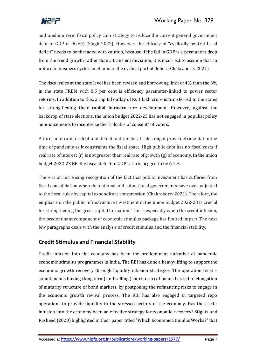

and medium term fiscal policy cum strategy to reduce the current general government debt to GDP of 90.6% (Singh 2022). However, the efficacy of "cyclically neutral fiscal deficit" needs to be threaded with caution, because if the fall in GDP is a permanent drop from the trend growth rather than a transient deviation, it is incorrect to assume that an upturn in business cycle can eliminate the cyclical part of deficit (Chakraborty 2021).

The fiscal rules at the state level has been revised and borrowing limit of 4% than the 3% in the state FRBM with 0.5 per cent is efficiency parameter-linked to power sector reforms. In addition to this, a capital outlay of Rs 1 lakh crore is transferred to the states for strengthening their capital infrastructure development. However, against the backdrop of state elections, the union budget 2022-23 has not engaged in populist policy announcements to incentivize the "calculus of consent" of voters.

A threshold-ratio of debt and deficit and the fiscal rules might prove detrimental in the time of pandemic as it constraints the fiscal space. High public debt has no fiscal costs if real rate of interest  $(r)$  is not greater than real rate of growth  $(g)$  of economy. In the union budget 2022-23 BE, the fiscal deficit to GDP ratio is pegged to be 6.4%.

There is an increasing recognition of the fact that public investment has suffered from fiscal consolidation when the national and subnational governments have over-adjusted to the fiscal rules by capital expenditure compression (Chakraborty 2021). Therefore, the emphasis on the public infrastructure investment in the union budget 2022-23 is crucial for strengthening the gross capital formation. This is especially when the credit infusion, the predominant component of economic stimulus package has limited impact. The next few paragraphs deals with the analysis of credit stimulus and the financial stability.

# **Credit Stimulus and Financial Stability**

Credit infusion into the economy has been the predominant narrative of pandemic economic stimulus programmes in India. The RBI has done a heavy-lifting to support the economic growth recovery through liquidity infusion strategies. The operation twist – simultaneous buying (long term) and selling (short term) of bonds has led to elongation of maturity structure of bond markets, by postponing the refinancing risks to engage in the economic growth revival process. The RBI has also engaged in targeted repo operations to provide liquidity to the stressed sectors of the economy. Has the credit infusion into the economy been an effective strategy for economic recovery? Stiglitz and Rasheed (2020) highlighted in their paper titled "Which Economic Stimulus Works?" that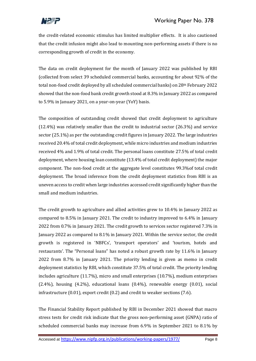

the credit-related economic stimulus has limited multiplier effects. It is also cautioned that the credit infusion might also lead to mounting non-performing assets if there is no corresponding growth of credit in the economy.

The data on credit deployment for the month of January 2022 was published by RBI (collected from select 39 scheduled commercial banks, accounting for about 92% of the total non-food credit deployed by all scheduled commercial banks) on 28<sup>th</sup> February 2022 showed that the non-food bank credit growth stood at 8.3% in January 2022 as compared to 5.9% in January 2021, on a year-on-year (YoY) basis.

The composition of outstanding credit showed that credit deployment to agriculture (12.4%) was relatively smaller than the credit to industrial sector (26.3%) and service sector (25.1%) as per the outstanding credit figures in January 2022. The large industries received 20.4% of total credit deployment, while micro industries and medium industries received 4% and 1.9% of total credit. The personal loans constitute 27.5% of total credit deployment, where housing loan constitute (13.4% of total credit deployment) the major component. The non-food credit at the aggregate level constitutes 99.3%of total credit deployment. The broad inference from the credit deployment statistics from RBI is an uneven access to credit when large industries accessed credit significantly higher than the small and medium industries.

The credit growth to agriculture and allied activities grew to 10.4% in January 2022 as compared to 8.5% in January 2021. The credit to industry improved to 6.4% in January 2022 from 0.7% in January 2021. The credit growth to services sector registered 7.3% in January 2022 as compared to 8.1% in January 2021. Within the service sector, the credit growth is registered in 'NBFCs', 'transport operators' and 'tourism, hotels and restaurants'. The "Personal loans" has noted a robust growth rate by 11.6% in January 2022 from 8.7% in January 2021. The priority lending is given as memo in credit deployment statistics by RBI, which constitute 37.5% of total credit. The priority lending includes agriculture (11.7%), micro and small enterprises (10.7%), medium enterprises (2.4%), housing (4.2%), educational loans (0.4%), renewable energy (0.01), social infrastructure (0.01), export credit (0.2) and credit to weaker sections (7.6).

The Financial Stability Report published by RBI in December 2021 showed that macro stress tests for credit risk indicate that the gross non-performing asset (GNPA) ratio of scheduled commercial banks may increase from 6.9% in September 2021 to 8.1% by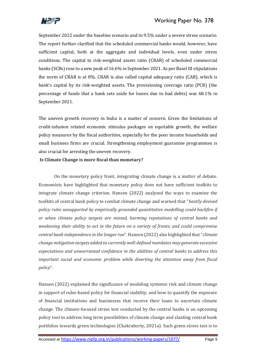

September 2022 under the baseline scenario and to 9.5% under a severe stress scenario. The report further clarified that the scheduled commercial banks would, however, have sufficient capital, both at the aggregate and individual levels, even under stress conditions. The capital to risk-weighted assets ratio (CRAR) of scheduled commercial banks (SCBs) rose to a new peak of 16.6% in September 2021. As per Basel III stipulations the norm of CRAR is at 8%. CRAR is also called capital adequacy ratio (CAR), which is bank's capital by its risk-weighted assets. The provisioning coverage ratio (PCR) (the percentage of funds that a bank sets aside for losses due to bad debts) was 68.1% in September 2021.

The uneven growth recovery in India is a matter of concern. Given the limitations of credit-infusion related economic stimulus packages on equitable growth, the welfare policy measures by the fiscal authorities, especially for the poor income households and small business firms are crucial. Strengthening employment guarantee programmes is also crucial for arresting the uneven recovery.

### **Is Climate Change is more fiscal than monetary?**

On the monetary policy front, integrating climate change is a matter of debate. Economists have highlighted that monetary policy does not have sufficient toolkits to integrate climate change criterion. Hansen (2022) analysed the ways to examine the toolkits of central bank policy to combat climate change and warned that "*hastily devised policy rules unsupported by empirically grounded quantitative modelling could backfire if or when climate policy targets are missed, harming reputations of central banks and weakening their ability to act in the future on a variety of fronts; and could compromise central bank independence in the longer run*". Hansen (2022) also highlighted that "*climate change mitigation targets added to currently well-defined mandates may generate excessive expectations and unwarranted confidence in the abilities of central banks to address this important social and economic problem while diverting the attention away from fiscal policy*".

Hansen (2022) explained the significance of modeling systemic risk and climate change in support of rules-based policy for financial stability; and how to quantify the exposure of financial institutions and businesses that receive their loans to uncertain climate change. The climate-focused stress test conducted by the central banks is an upcoming policy tool to address long term possibilities of climate change and slanting central bank portfolios towards green technologies (Chakraborty, 2021a). Such green stress test is to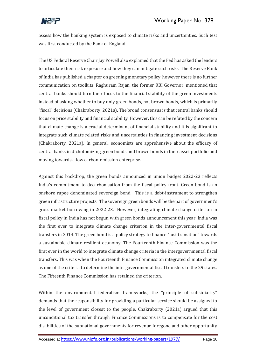

assess how the banking system is exposed to climate risks and uncertainties. Such test was first conducted by the Bank of England.

The US Federal Reserve Chair Jay Powell also explained that the Fed has asked the lenders to articulate their risk exposure and how they can mitigate such risks. The Reserve Bank of India has published a chapter on greening monetary policy, however there is no further communication on toolkits. Raghuram Rajan, the former RBI Governor, mentioned that central banks should turn their focus to the financial stability of the green investments instead of asking whether to buy only green bonds, not brown bonds, which is primarily "fiscal" decisions (Chakraborty, 2021a). The broad consensus is that central banks should focus on price stability and financial stability. However, this can be refuted by the concern that climate change is a crucial determinant of financial stability and it is significant to integrate such climate related risks and uncertainties in financing investment decisions (Chakraborty, 2021a). In general, economists are apprehensive about the efficacy of central banks in dichotomizing green bonds and brown bonds in their asset portfolio and moving towards a low carbon-emission enterprise.

Against this backdrop, the green bonds announced in union budget 2022-23 reflects India's commitment to decarbonisation from the fiscal policy front. Green bond is an onshore rupee denominated sovereign bond. This is a debt-instrument to strengthen green infrastructure projects. The sovereign green bonds will be the part of government's gross market borrowing in 2022-23. However, integrating climate change criterion in fiscal policy in India has not begun with green bonds announcement this year. India was the first ever to integrate climate change criterion in the inter-governmental fiscal transfers in 2014. The green bond is a policy strategy to finance "just transition" towards a sustainable climate-resilient economy. The Fourteenth Finance Commission was the first ever in the world to integrate climate change criteria in the intergovernmental fiscal transfers. This was when the Fourteenth Finance Commission integrated climate change as one of the criteria to determine the intergovernmental fiscal transfers to the 29 states. The Fifteenth Finance Commission has retained the criterion.

Within the environmental federalism frameworks, the "principle of subsidiarity" demands that the responsibility for providing a particular service should be assigned to the level of government closest to the people. Chakraborty (2021a) argued that this unconditional tax transfer through Finance Commissions is to compensate for the cost disabilities of the subnational governments for revenue foregone and other opportunity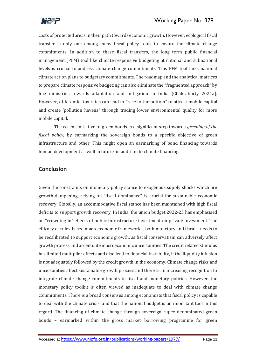

costs of protected areas in their path towards economic growth. However, ecological fiscal transfer is only one among many fiscal policy tools to ensure the climate change commitments. In addition to these fiscal transfers, the long term public financial management (PFM) tool like climate responsive budgeting at national and subnational levels is crucial to address climate change commitments. This PFM tool links national climate action plans to budgetary commitments. The roadmap and the analytical matrices to prepare climate responsive budgeting can also eliminate the "fragmented approach" by line ministries towards adaptation and mitigation in India (Chakraborty 2021a). However, differential tax rates can lead to "race to the bottom" to attract mobile capital and create 'pollution havens" through trading lower environmental quality for more mobile capital.

The recent initiative of green bonds is a significant step towards *greening of the fiscal policy*, by earmarking the sovereign bonds to a specific objective of green infrastructure and other. This might open an earmarking of bond financing towards human development as well in future, in addition to climate financing.

# **Conclusion**

Given the constraints on monetary policy stance to exogenous supply shocks which are growth-dampening, relying on "fiscal dominance" is crucial for sustainable economic recovery. Globally, an accommodative fiscal stance has been maintained with high fiscal deficits to support growth recovery. In India, the union budget 2022-23 has emphasised on "crowding-in" effects of public infrastructure investment on private investment. The efficacy of rules-based macroeconomic framework – both monetary and fiscal – needs to be recalibrated to support economic growth, as fiscal conservatism can adversely affect growth process and accentuate macroeconomic uncertainties. The credit related stimulus has limited multiplier effects and also lead to financial instability, if the liquidity infusion is not adequately followed by the credit growth in the economy. Climate change risks and uncertainties affect sustainable growth process and there is an increasing recognition to integrate climate change commitments in fiscal and monetary policies. However, the monetary policy toolkit is often viewed as inadequate to deal with climate change commitments. There is a broad consensus among economists that fiscal policy is capable to deal with the climate crisis, and that the national budget is an important tool in this regard. The financing of climate change through sovereign rupee denominated green bonds – earmarked within the gross market borrowing programme for green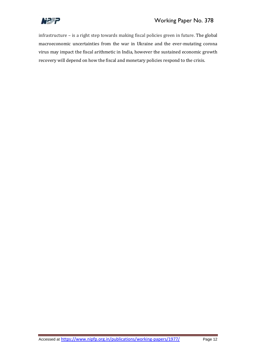

infrastructure – is a right step towards making fiscal policies green in future. The global macroeconomic uncertainties from the war in Ukraine and the ever-mutating corona virus may impact the fiscal arithmetic in India, however the sustained economic growth recovery will depend on how the fiscal and monetary policies respond to the crisis.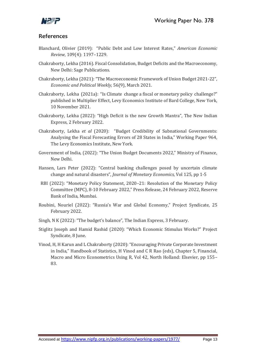

## **References**

- Blanchard, Olivier (2019): "Public Debt and Low Interest Rates," *American Economic Review*, 109(4): 1197–1229.
- Chakraborty, Lekha (2016). Fiscal Consolidation, Budget Deficits and the Macroeconomy, New Delhi: Sage Publications.
- Chakraborty, Lekha (2021): "The Macroeconomic Framework of Union Budget 2021-22", *Economic and Political Weekly,* 56(9), March 2021.
- Chakraborty, Lekha (2021a): "Is Climate change a fiscal or monetary policy challenge?" published in Multiplier Effect, Levy Economics Institute of Bard College, New York, 10 November 2021.
- Chakraborty, Lekha (2022): "High Deficit is the new Growth Mantra", The New Indian Express, 2 February 2022.
- Chakraborty, Lekha *et al* (2020): "Budget Credibility of Subnational Governments: Analysing the Fiscal Forecasting Errors of 28 States in India," Working Paper 964, The Levy Economics Institute, New York.
- Government of India, (2022): "The Union Budget Documents 2022," Ministry of Finance, New Delhi.
- Hansen, Lars Peter (2022): "Central banking challenges posed by uncertain climate change and natural disasters", *Journal of Monetary Economics,* Vol 125, pp 1-5
- RBI (2022): "Monetary Policy Statement, 2020–21: Resolution of the Monetary Policy Committee (MPC), 8-10 February 2022," Press Release, 24 February 2022, Reserve Bank of India, Mumbai.
- Roubini, Nouriel (2022): "Russia's War and Global Economy," Project Syndicate, 25 February 2022.
- Singh, N K (2022): "The budget's balance", The Indian Express, 3 February.
- Stiglitz Joseph and Hamid Rashid (2020): "Which Economic Stimulus Works?" Project Syndicate, 8 June.
- Vinod, H, H Karun and L Chakraborty (2020): "Encouraging Private Corporate Investment in India," Handbook of Statistics, H Vinod and C R Rao (eds), Chapter 5, Financial, Macro and Micro Econometrics Using R, Vol 42, North Holland: Elsevier, pp 155– 83.